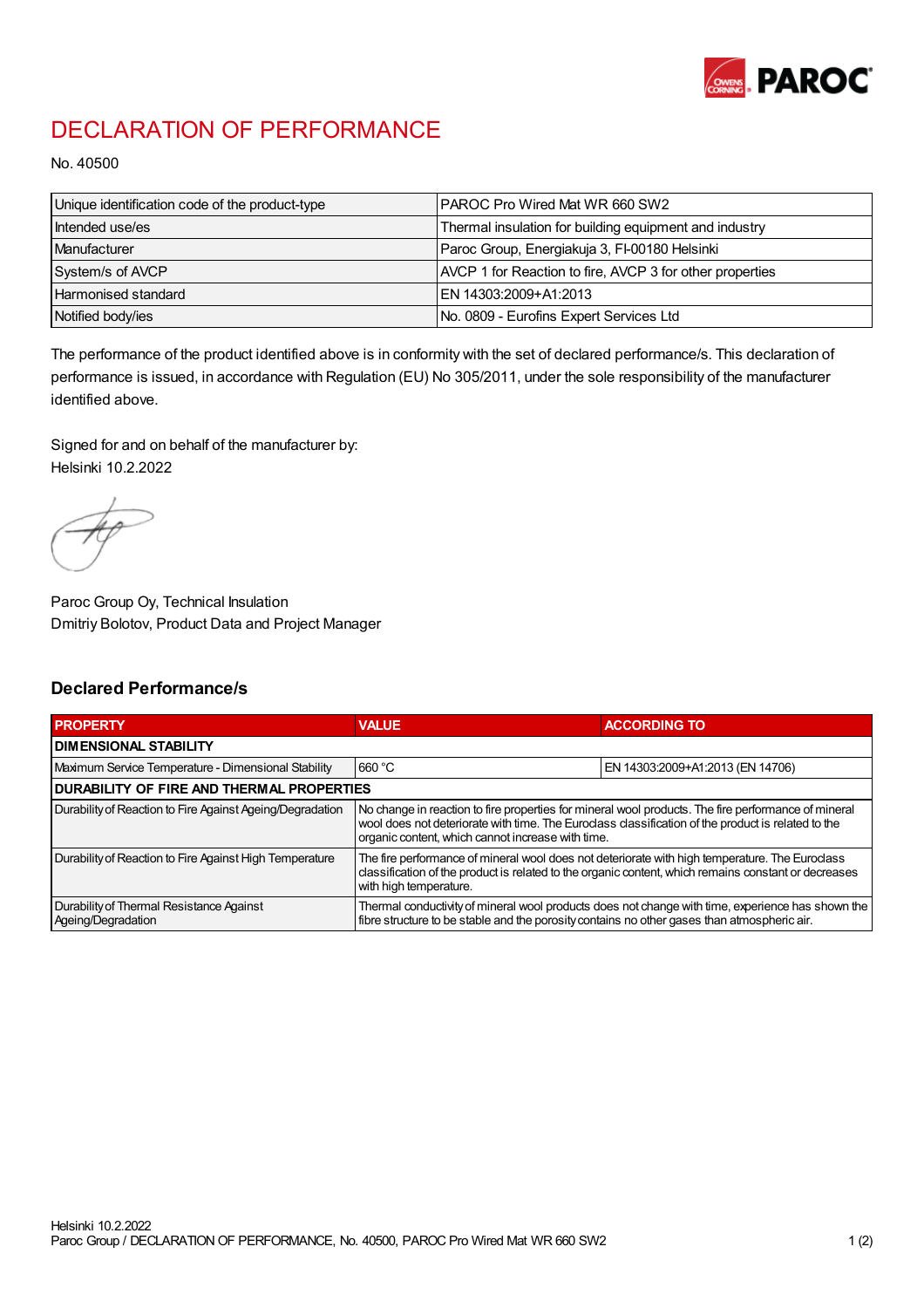

## DECLARATION OF PERFORMANCE

No. 40500

| Unique identification code of the product-type | <b>PAROC Pro Wired Mat WR 660 SW2</b>                    |
|------------------------------------------------|----------------------------------------------------------|
| Intended use/es                                | Thermal insulation for building equipment and industry   |
| Manufacturer                                   | Paroc Group, Energiakuja 3, FI-00180 Helsinki            |
| System/s of AVCP                               | AVCP 1 for Reaction to fire, AVCP 3 for other properties |
| Harmonised standard                            | IEN 14303:2009+A1:2013                                   |
| Notified body/ies                              | No. 0809 - Eurofins Expert Services Ltd                  |

The performance of the product identified above is in conformity with the set of declared performance/s. This declaration of performance is issued, in accordance with Regulation (EU) No 305/2011, under the sole responsibility of the manufacturer identified above.

Signed for and on behalf of the manufacturer by: Helsinki 10.2.2022

Paroc Group Oy, Technical Insulation Dmitriy Bolotov, Product Data and Project Manager

## Declared Performance/s

| <b>PROPERTY</b>                                                | <b>VALUE</b>                                                                                                                                                                                                                                                   | <b>ACCORDING TO.</b>             |  |
|----------------------------------------------------------------|----------------------------------------------------------------------------------------------------------------------------------------------------------------------------------------------------------------------------------------------------------------|----------------------------------|--|
| <b>DIMENSIONAL STABILITY</b>                                   |                                                                                                                                                                                                                                                                |                                  |  |
| Maximum Service Temperature - Dimensional Stability            | 660 °C                                                                                                                                                                                                                                                         | EN 14303:2009+A1:2013 (EN 14706) |  |
| <b>DURABILITY OF FIRE AND THERMAL PROPERTIES</b>               |                                                                                                                                                                                                                                                                |                                  |  |
| Durability of Reaction to Fire Against Ageing/Degradation      | No change in reaction to fire properties for mineral wool products. The fire performance of mineral<br>wool does not deteriorate with time. The Euroclass classification of the product is related to the<br>organic content, which cannot increase with time. |                                  |  |
| Durability of Reaction to Fire Against High Temperature        | The fire performance of mineral wool does not deteriorate with high temperature. The Euroclass<br>classification of the product is related to the organic content, which remains constant or decreases<br>with high temperature.                               |                                  |  |
| Durability of Thermal Resistance Against<br>Ageing/Degradation | Thermal conductivity of mineral wool products does not change with time, experience has shown the<br>fibre structure to be stable and the porosity contains no other gases than atmospheric air.                                                               |                                  |  |